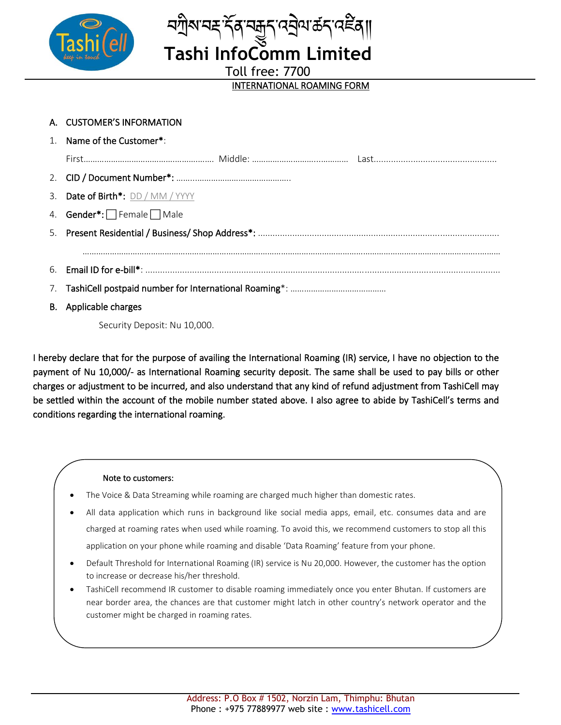



**Tashi InfoComm Limited**

Toll free: 7700

## INTERNATIONAL ROAMING FORM

| A. CUSTOMER'S INFORMATION                      |
|------------------------------------------------|
| 1. Name of the Customer*:                      |
|                                                |
|                                                |
| 3. Date of Birth <sup>*</sup> : DD / MM / YYYY |
| 4. <b>Gender*:</b> Female $\Box$ Male          |
|                                                |
|                                                |
|                                                |
|                                                |
| B. Applicable charges                          |

Security Deposit: Nu 10,000.

I hereby declare that for the purpose of availing the International Roaming (IR) service, I have no objection to the payment of Nu 10,000/- as International Roaming security deposit. The same shall be used to pay bills or other charges or adjustment to be incurred, and also understand that any kind of refund adjustment from TashiCell may be settled within the account of the mobile number stated above. I also agree to abide by TashiCell's terms and conditions regarding the international roaming.

## Note to customers:

- The Voice & Data Streaming while roaming are charged much higher than domestic rates.
- All data application which runs in background like social media apps, email, etc. consumes data and are charged at roaming rates when used while roaming. To avoid this, we recommend customers to stop all this application on your phone while roaming and disable 'Data Roaming' feature from your phone.
- Default Threshold for International Roaming (IR) service is Nu 20,000. However, the customer has the option to increase or decrease his/her threshold.
- TashiCell recommend IR customer to disable roaming immediately once you enter Bhutan. If customers are near border area, the chances are that customer might latch in other country's network operator and the customer might be charged in roaming rates.